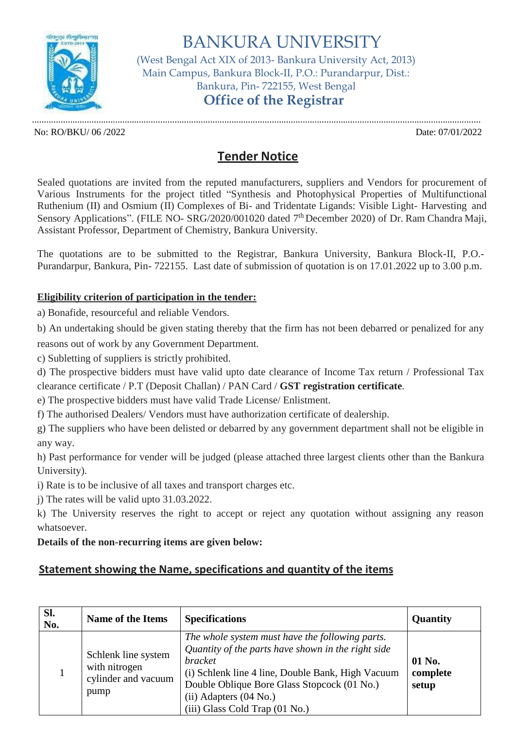

BANKURA UNIVERSITY (West Bengal Act XIX of 2013- Bankura University Act, 2013) Main Campus, Bankura Block-II, P.O.: Purandarpur, Dist.: Bankura, Pin- 722155, West Bengal **Office of the Registrar**

............................................................................................................................................................................................. No: RO/BKU/ 06 /2022 Date: 07/01/2022

# **Tender Notice**

Sealed quotations are invited from the reputed manufacturers, suppliers and Vendors for procurement of Various Instruments for the project titled "Synthesis and Photophysical Properties of Multifunctional Ruthenium (II) and Osmium (II) Complexes of Bi- and Tridentate Ligands: Visible Light- Harvesting and Sensory Applications". (FILE NO- SRG/2020/001020 dated 7<sup>th</sup> December 2020) of Dr. Ram Chandra Maji, Assistant Professor, Department of Chemistry, Bankura University.

The quotations are to be submitted to the Registrar, Bankura University, Bankura Block-II, P.O.- Purandarpur, Bankura, Pin- 722155. Last date of submission of quotation is on 17.01.2022 up to 3.00 p.m.

### **Eligibility criterion of participation in the tender:**

a) Bonafide, resourceful and reliable Vendors.

b) An undertaking should be given stating thereby that the firm has not been debarred or penalized for any reasons out of work by any Government Department.

c) Subletting of suppliers is strictly prohibited.

d) The prospective bidders must have valid upto date clearance of Income Tax return / Professional Tax clearance certificate / P.T (Deposit Challan) / PAN Card / **GST registration certificate**.

e) The prospective bidders must have valid Trade License/ Enlistment.

f) The authorised Dealers/ Vendors must have authorization certificate of dealership.

g) The suppliers who have been delisted or debarred by any government department shall not be eligible in any way.

h) Past performance for vender will be judged (please attached three largest clients other than the Bankura University).

i) Rate is to be inclusive of all taxes and transport charges etc.

j) The rates will be valid upto 31.03.2022.

k) The University reserves the right to accept or reject any quotation without assigning any reason whatsoever.

### **Details of the non-recurring items are given below:**

## **Statement showing the Name, specifications and quantity of the items**

| Sl.<br>No. | <b>Name of the Items</b>                                            | <b>Specifications</b>                                                                                                                                                                                                                                                                       | Quantity                    |
|------------|---------------------------------------------------------------------|---------------------------------------------------------------------------------------------------------------------------------------------------------------------------------------------------------------------------------------------------------------------------------------------|-----------------------------|
|            | Schlenk line system<br>with nitrogen<br>cylinder and vacuum<br>pump | The whole system must have the following parts.<br>Quantity of the parts have shown in the right side<br><i>bracket</i><br>(i) Schlenk line 4 line, Double Bank, High Vacuum<br>Double Oblique Bore Glass Stopcock (01 No.)<br>$(ii)$ Adapters $(04$ No.)<br>(iii) Glass Cold Trap (01 No.) | 01 No.<br>complete<br>setup |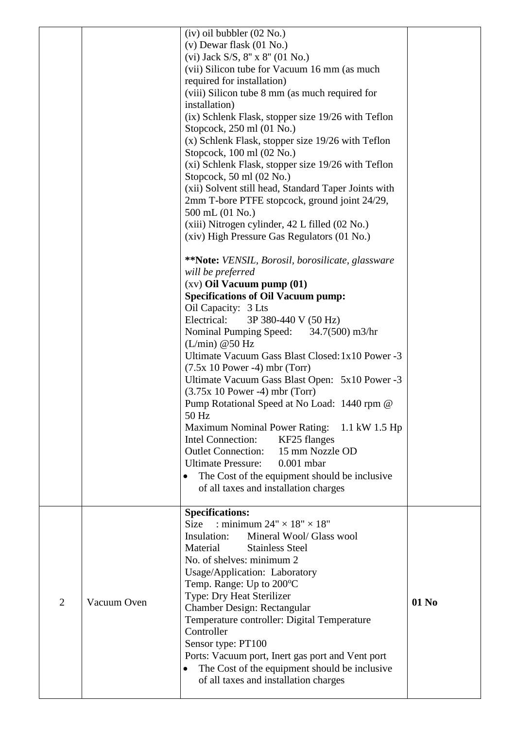|                |             | $(iv)$ oil bubbler $(02$ No.)<br>$(v)$ Dewar flask $(01$ No.)<br>(vi) Jack S/S, 8" x 8" (01 No.)<br>(vii) Silicon tube for Vacuum 16 mm (as much<br>required for installation)<br>(viii) Silicon tube 8 mm (as much required for<br>installation)<br>(ix) Schlenk Flask, stopper size 19/26 with Teflon<br>Stopcock, 250 ml (01 No.)<br>$(x)$ Schlenk Flask, stopper size 19/26 with Teflon<br>Stopcock, 100 ml (02 No.)<br>(xi) Schlenk Flask, stopper size 19/26 with Teflon<br>Stopcock, $50$ ml $(02$ No.)<br>(xii) Solvent still head, Standard Taper Joints with<br>2mm T-bore PTFE stopcock, ground joint 24/29,<br>500 mL (01 No.)<br>(xiii) Nitrogen cylinder, 42 L filled (02 No.)<br>(xiv) High Pressure Gas Regulators (01 No.)<br>**Note: VENSIL, Borosil, borosilicate, glassware<br>will be preferred<br>$(xv)$ Oil Vacuum pump $(01)$<br><b>Specifications of Oil Vacuum pump:</b><br>Oil Capacity: 3 Lts<br>Electrical:<br>3P 380-440 V (50 Hz)<br>Nominal Pumping Speed:<br>$34.7(500)$ m $3/hr$<br>(L/min) @ 50 Hz<br>Ultimate Vacuum Gass Blast Closed: 1x10 Power -3<br>$(7.5x 10 Power - 4) mbr (Torr)$<br>Ultimate Vacuum Gass Blast Open: 5x10 Power -3<br>$(3.75x 10 Power - 4) mbr (Torr)$<br>Pump Rotational Speed at No Load: 1440 rpm @<br>50 Hz<br>Maximum Nominal Power Rating: 1.1 kW 1.5 Hp<br>Intel Connection:<br>KF25 flanges<br><b>Outlet Connection:</b><br>15 mm Nozzle OD<br><b>Ultimate Pressure:</b><br>$0.001$ mbar<br>The Cost of the equipment should be inclusive.<br>of all taxes and installation charges |       |
|----------------|-------------|-----------------------------------------------------------------------------------------------------------------------------------------------------------------------------------------------------------------------------------------------------------------------------------------------------------------------------------------------------------------------------------------------------------------------------------------------------------------------------------------------------------------------------------------------------------------------------------------------------------------------------------------------------------------------------------------------------------------------------------------------------------------------------------------------------------------------------------------------------------------------------------------------------------------------------------------------------------------------------------------------------------------------------------------------------------------------------------------------------------------------------------------------------------------------------------------------------------------------------------------------------------------------------------------------------------------------------------------------------------------------------------------------------------------------------------------------------------------------------------------------------------------------------------------------------------|-------|
| $\overline{2}$ | Vacuum Oven | <b>Specifications:</b><br>: minimum $24" \times 18" \times 18"$<br>Size<br>Mineral Wool/ Glass wool<br>Insulation:<br>Material<br><b>Stainless Steel</b><br>No. of shelves: minimum 2<br>Usage/Application: Laboratory<br>Temp. Range: Up to 200°C<br>Type: Dry Heat Sterilizer<br>Chamber Design: Rectangular<br>Temperature controller: Digital Temperature<br>Controller<br>Sensor type: PT100<br>Ports: Vacuum port, Inert gas port and Vent port<br>The Cost of the equipment should be inclusive<br>$\bullet$<br>of all taxes and installation charges                                                                                                                                                                                                                                                                                                                                                                                                                                                                                                                                                                                                                                                                                                                                                                                                                                                                                                                                                                                              | 01 No |